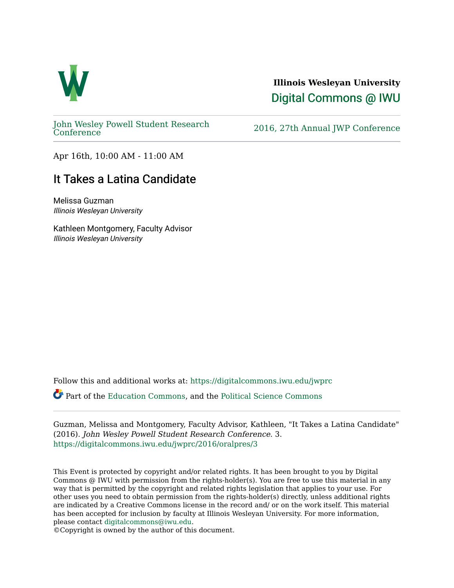

## **Illinois Wesleyan University**  [Digital Commons @ IWU](https://digitalcommons.iwu.edu/)

[John Wesley Powell Student Research](https://digitalcommons.iwu.edu/jwprc) 

2016, 27th Annual JWP [Conference](https://digitalcommons.iwu.edu/jwprc)

Apr 16th, 10:00 AM - 11:00 AM

## It Takes a Latina Candidate

Melissa Guzman Illinois Wesleyan University

Kathleen Montgomery, Faculty Advisor Illinois Wesleyan University

Follow this and additional works at: [https://digitalcommons.iwu.edu/jwprc](https://digitalcommons.iwu.edu/jwprc?utm_source=digitalcommons.iwu.edu%2Fjwprc%2F2016%2Foralpres%2F3&utm_medium=PDF&utm_campaign=PDFCoverPages) 

Part of the [Education Commons](http://network.bepress.com/hgg/discipline/784?utm_source=digitalcommons.iwu.edu%2Fjwprc%2F2016%2Foralpres%2F3&utm_medium=PDF&utm_campaign=PDFCoverPages), and the [Political Science Commons](http://network.bepress.com/hgg/discipline/386?utm_source=digitalcommons.iwu.edu%2Fjwprc%2F2016%2Foralpres%2F3&utm_medium=PDF&utm_campaign=PDFCoverPages) 

Guzman, Melissa and Montgomery, Faculty Advisor, Kathleen, "It Takes a Latina Candidate" (2016). John Wesley Powell Student Research Conference. 3. [https://digitalcommons.iwu.edu/jwprc/2016/oralpres/3](https://digitalcommons.iwu.edu/jwprc/2016/oralpres/3?utm_source=digitalcommons.iwu.edu%2Fjwprc%2F2016%2Foralpres%2F3&utm_medium=PDF&utm_campaign=PDFCoverPages) 

This Event is protected by copyright and/or related rights. It has been brought to you by Digital Commons @ IWU with permission from the rights-holder(s). You are free to use this material in any way that is permitted by the copyright and related rights legislation that applies to your use. For other uses you need to obtain permission from the rights-holder(s) directly, unless additional rights are indicated by a Creative Commons license in the record and/ or on the work itself. This material has been accepted for inclusion by faculty at Illinois Wesleyan University. For more information, please contact [digitalcommons@iwu.edu.](mailto:digitalcommons@iwu.edu)

©Copyright is owned by the author of this document.